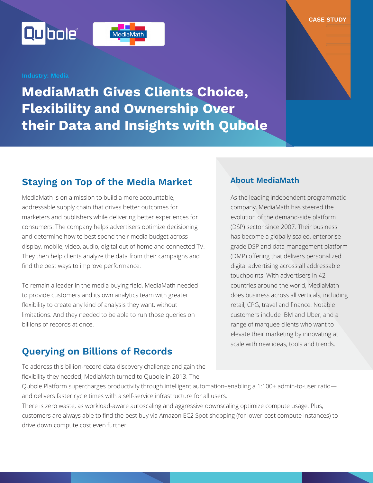**MediaMath Gives Clients Choice, Flexibility and Ownership Over their Data and Insights with Qubole**

# **Staying on Top of the Media Market**

MediaMath is on a mission to build a more accountable, addressable supply chain that drives better outcomes for marketers and publishers while delivering better experiences for consumers. The company helps advertisers optimize decisioning and determine how to best spend their media budget across display, mobile, video, audio, digital out of home and connected TV. They then help clients analyze the data from their campaigns and find the best ways to improve performance.

To remain a leader in the media buying field, MediaMath needed to provide customers and its own analytics team with greater flexibility to create any kind of analysis they want, without limitations. And they needed to be able to run those queries on billions of records at once.

# **Querying on Billions of Records**

**About [MediaMath](https://www.mediamath.com/)**

As the leading independent programmatic company, MediaMath has steered the evolution of the demand-side platform (DSP) sector since 2007. Their business has become a globally scaled, enterprisegrade DSP and data management platform (DMP) offering that delivers personalized digital advertising across all addressable touchpoints. With advertisers in 42 countries around the world, MediaMath does business across all verticals, including retail, CPG, travel and finance. Notable customers include IBM and Uber, and a range of marquee clients who want to elevate their marketing by innovating at scale with new ideas, tools and trends.

To address this billion-record data discovery challenge and gain the flexibility they needed, MediaMath turned to Qubole in 2013. The

Qubole Platform supercharges productivity through intelligent automation–enabling a 1:100+ admin-to-user ratio and delivers faster cycle times with a self-service infrastructure for all users.

There is zero waste, as workload-aware autoscaling and aggressive downscaling optimize compute usage. Plus, customers are always able to find the best buy via Amazon EC2 Spot shopping (for lower-cost compute instances) to drive down compute cost even further.



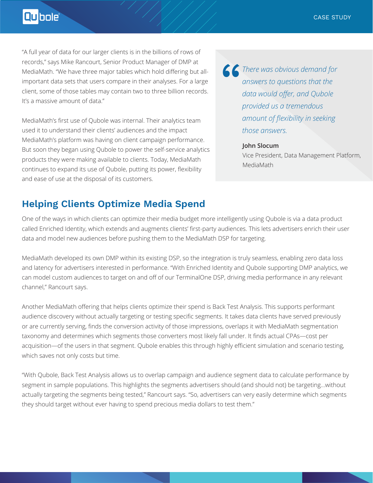# Qubole

"A full year of data for our larger clients is in the billions of rows of records," says Mike Rancourt, Senior Product Manager of DMP at MediaMath. "We have three major tables which hold differing but allimportant data sets that users compare in their analyses. For a large client, some of those tables may contain two to three billion records. It's a massive amount of data."

MediaMath's first use of Qubole was internal. Their analytics team used it to understand their clients' audiences and the impact MediaMath's platform was having on client campaign performance. But soon they began using Qubole to power the self-service analytics products they were making available to clients. Today, MediaMath continues to expand its use of Qubole, putting its power, flexibility and ease of use at the disposal of its customers.

*S There was obvious demand for answers to questions that the data would offer, and Qubole provided us a tremendous answers to questions that the data would offer, and Qubole provided us a tremendous amount of flexibility in seeking those answers.*

> **John Slocum** Vice President, Data Management Platform, MediaMath

# **Helping Clients Optimize Media Spend**

One of the ways in which clients can optimize their media budget more intelligently using Qubole is via a data product called Enriched Identity, which extends and augments clients' first-party audiences. This lets advertisers enrich their user data and model new audiences before pushing them to the MediaMath DSP for targeting.

MediaMath developed its own DMP within its existing DSP, so the integration is truly seamless, enabling zero data loss and latency for advertisers interested in performance. "With Enriched Identity and Qubole supporting DMP analytics, we can model custom audiences to target on and off of our TerminalOne DSP, driving media performance in any relevant channel," Rancourt says.

Another MediaMath offering that helps clients optimize their spend is Back Test Analysis. This supports performant audience discovery without actually targeting or testing specific segments. It takes data clients have served previously or are currently serving, finds the conversion activity of those impressions, overlaps it with MediaMath segmentation taxonomy and determines which segments those converters most likely fall under. It finds actual CPAs—cost per acquisition—of the users in that segment. Qubole enables this through highly efficient simulation and scenario testing, which saves not only costs but time.

"With Qubole, Back Test Analysis allows us to overlap campaign and audience segment data to calculate performance by segment in sample populations. This highlights the segments advertisers should (and should not) be targeting...without actually targeting the segments being tested," Rancourt says. "So, advertisers can very easily determine which segments they should target without ever having to spend precious media dollars to test them."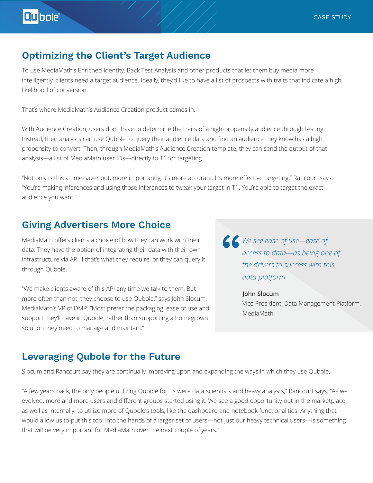# **Optimizing the Client's Target Audience**

To use MediaMath's Enriched Identity, Back Test Analysis and other products that let them buy media more intelligently, clients need a target audience. Ideally, they'd like to have a list of prospects with traits that indicate a high likelihood of conversion.

That's where MediaMath's Audience Creation product comes in.

With Audience Creation, users don't have to determine the traits of a high-propensity audience through testing. Instead, their analysts can use Qubole to query their audience data and find an audience they know has a high propensity to convert. Then, through MediaMath's Audience Creation template, they can send the output of that analysis—a list of MediaMath user IDs—directly to T1 for targeting.

"Not only is this a time-saver but, more importantly, it's more accurate. It's more effective targeting," Rancourt says. "You're making inferences and using those inferences to tweak your target in T1. You're able to target the exact audience you want."

### **Giving Advertisers More Choice**

MediaMath offers clients a choice of how they can work with their data. They have the option of integrating their data with their own infrastructure via API if that's what they require, or they can query it through Qubole.

"We make clients aware of this API any time we talk to them. But more often than not, they choose to use Qubole," says John Slocum, MediaMath's VP of DMP. "Most prefer the packaging, ease of use and support they'll have in Qubole, rather than supporting a homegrown solution they need to manage and maintain."

K<sup>We see ease of use—ease of access to data—as being on the drivers to success with the data platform.</sup> *access to data—as being one of the drivers to success with this data platform.*

> **John Slocum** Vice President, Data Management Platform, MediaMath

# **Leveraging Qubole for the Future**

Slocum and Rancourt say they are continually improving upon and expanding the ways in which they use Qubole.

"A few years back, the only people utilizing Qubole for us were data scientists and heavy analysts," Rancourt says. "As we evolved, more and more users and different groups started using it. We see a good opportunity out in the marketplace, as well as internally, to utilize more of Qubole's tools, like the dashboard and notebook functionalities. Anything that would allow us to put this tool into the hands of a larger set of users—not just our heavy technical users—is something that will be very important for MediaMath over the next couple of years."